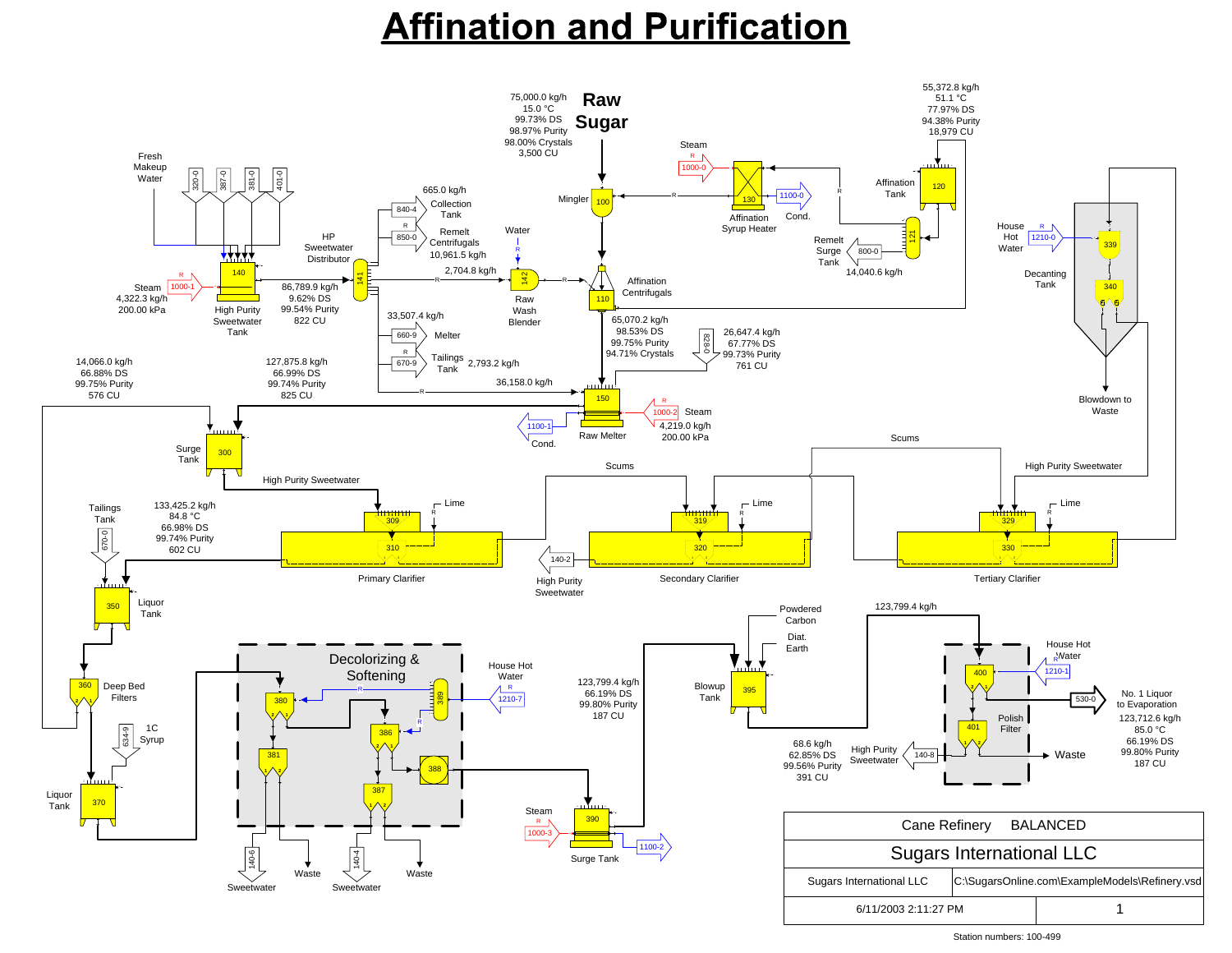# **Affination and Purification**



| <b>Ouyals International LLC</b> |                                 |  |                                                |  |
|---------------------------------|---------------------------------|--|------------------------------------------------|--|
|                                 | <b>Sugars International LLC</b> |  | C:\SugarsOnline.com\ExampleModels\Refinery.vsd |  |
|                                 | 6/11/2003 2:11:27 PM            |  |                                                |  |

Station numbers: 100-499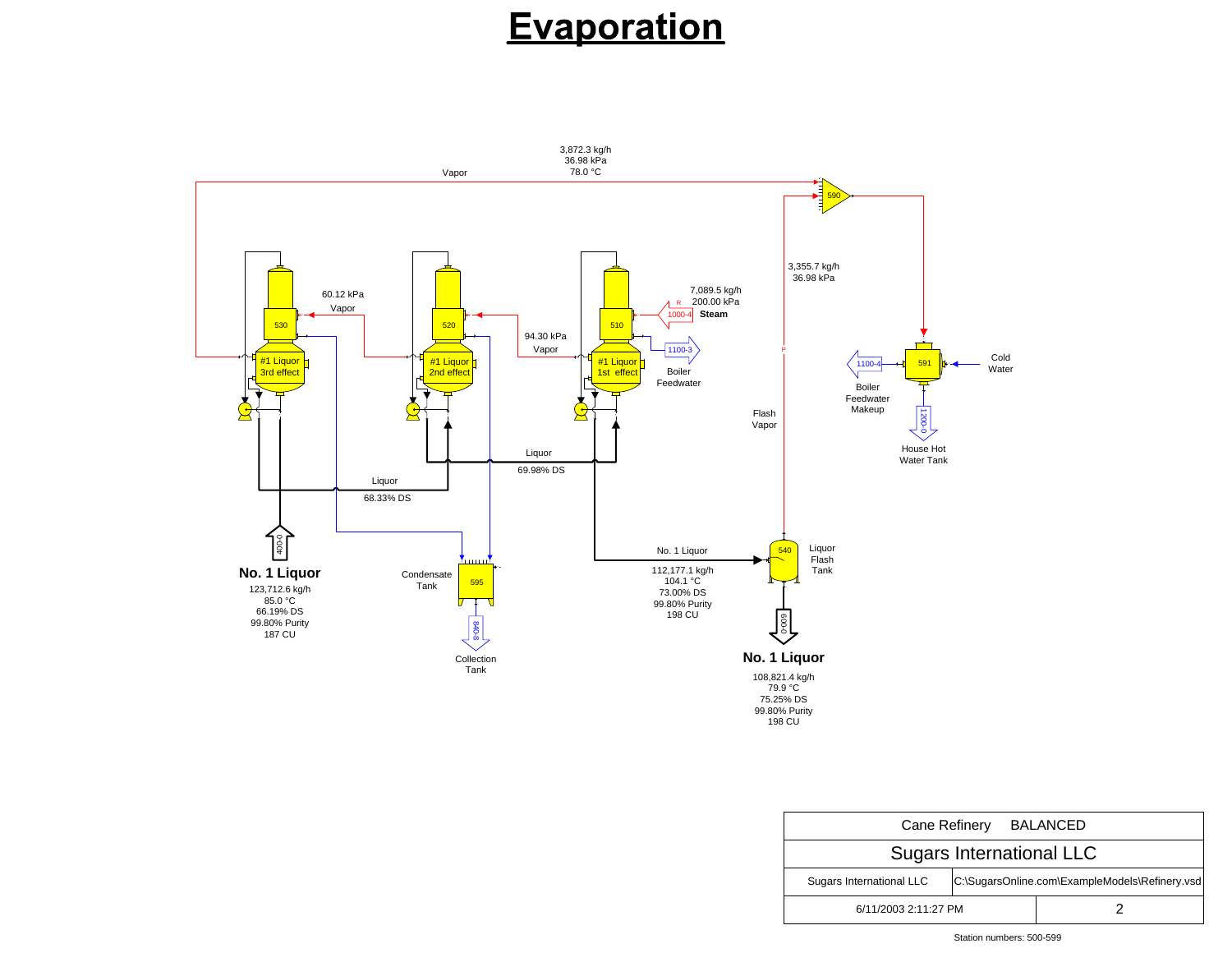| Cane Refinery BALANCED          |                                                |  |  |  |  |
|---------------------------------|------------------------------------------------|--|--|--|--|
| <b>Sugars International LLC</b> |                                                |  |  |  |  |
| <b>Sugars International LLC</b> | C:\SugarsOnline.com\ExampleModels\Refinery.vsd |  |  |  |  |
| 6/11/2003 2:11:27 PM            |                                                |  |  |  |  |

#### Station numbers: 500-599

### Evaporation

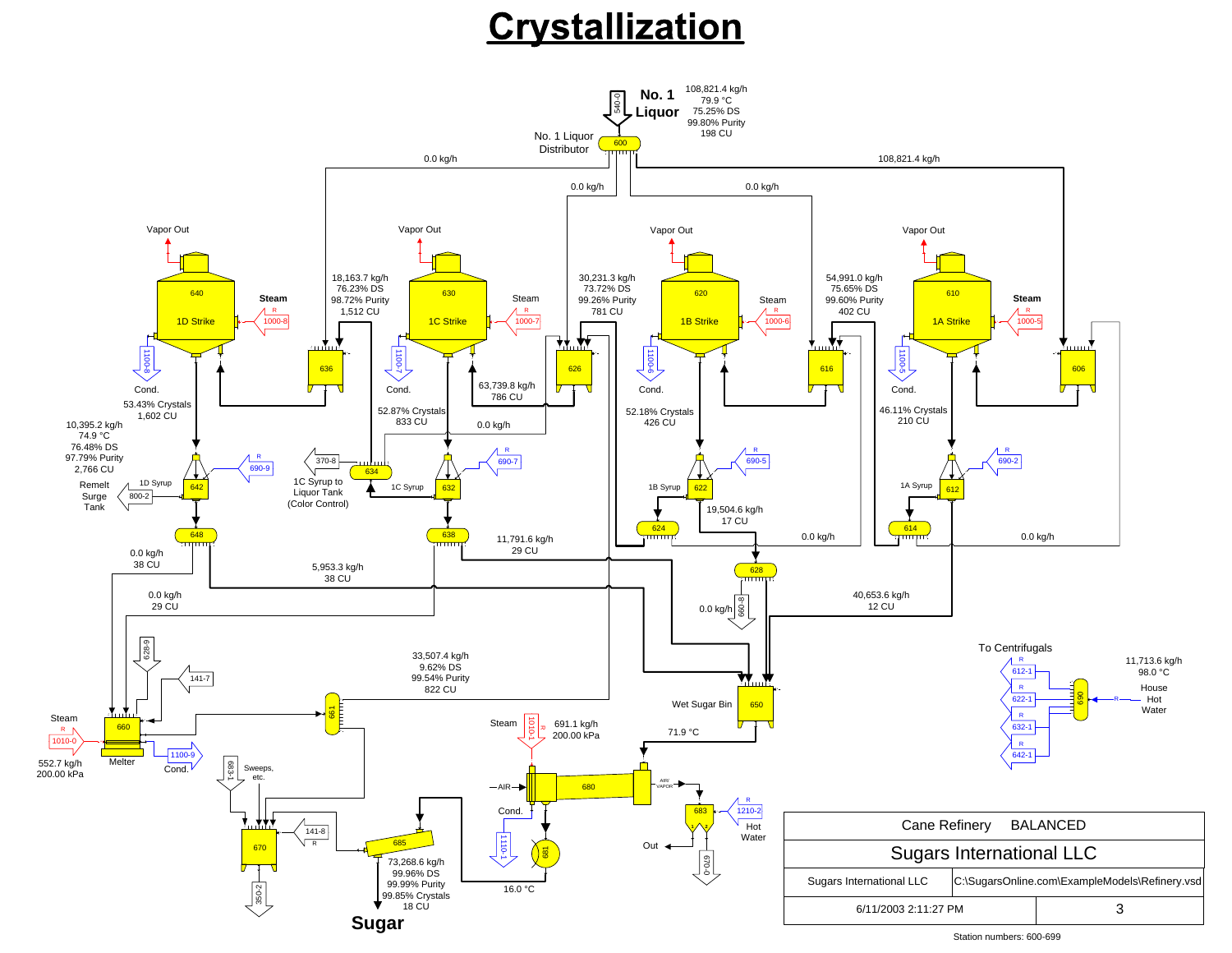## Crystallization



108,821.4 kg/h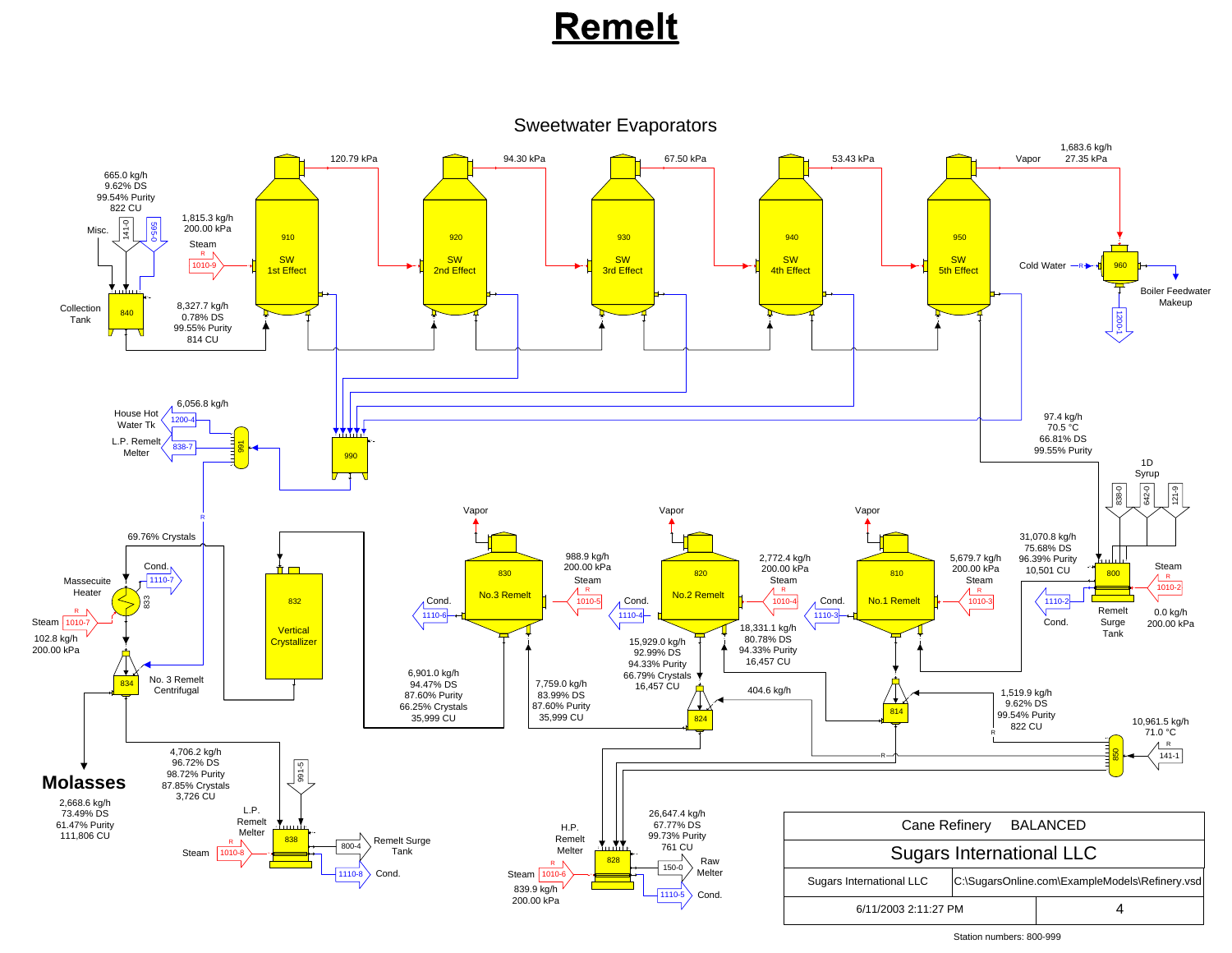6/11/2003 2:11:27 PMM and  $\sim$  1 and 4 and 4 and 4 and 4 and 4 and 4 and 4 and 4 and 4 and 4 and 4 and 4 and 4 and 4 and 4 and 4 and 4 and 4 and 4 and 4 and 4 and 4 and 4 and 4 and 4 and 4 and 4 and 4 and 4 and 4 and 4 and 4 and 4 and 4 and  $\overline{4}$ 

Station numbers: 800-999

### Remelt

#### Sweetwater Evaporators